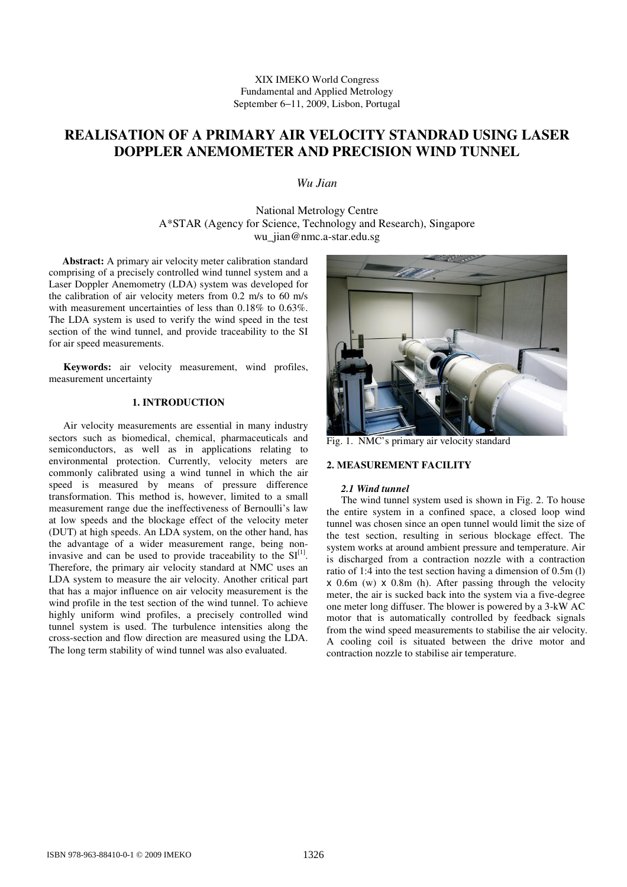XIX IMEKO World Congress Fundamental and Applied Metrology September 6−11, 2009, Lisbon, Portugal

# **REALISATION OF A PRIMARY AIR VELOCITY STANDRAD USING LASER DOPPLER ANEMOMETER AND PRECISION WIND TUNNEL**

*Wu Jian*

National Metrology Centre A\*STAR (Agency for Science, Technology and Research), Singapore wu\_jian@nmc.a-star.edu.sg

**Abstract:** A primary air velocity meter calibration standard comprising of a precisely controlled wind tunnel system and a Laser Doppler Anemometry (LDA) system was developed for the calibration of air velocity meters from 0.2 m/s to 60 m/s with measurement uncertainties of less than 0.18% to 0.63%. The LDA system is used to verify the wind speed in the test section of the wind tunnel, and provide traceability to the SI for air speed measurements.

**Keywords:** air velocity measurement, wind profiles, measurement uncertainty

# **1. INTRODUCTION**

Air velocity measurements are essential in many industry sectors such as biomedical, chemical, pharmaceuticals and semiconductors, as well as in applications relating to environmental protection. Currently, velocity meters are commonly calibrated using a wind tunnel in which the air speed is measured by means of pressure difference transformation. This method is, however, limited to a small measurement range due the ineffectiveness of Bernoulli's law at low speeds and the blockage effect of the velocity meter (DUT) at high speeds. An LDA system, on the other hand, has the advantage of a wider measurement range, being noninvasive and can be used to provide traceability to the  $SI^{[1]}$ . Therefore, the primary air velocity standard at NMC uses an LDA system to measure the air velocity. Another critical part that has a major influence on air velocity measurement is the wind profile in the test section of the wind tunnel. To achieve highly uniform wind profiles, a precisely controlled wind tunnel system is used. The turbulence intensities along the cross-section and flow direction are measured using the LDA. The long term stability of wind tunnel was also evaluated.



Fig. 1. NMC's primary air velocity standard

# **2. MEASUREMENT FACILITY**

## *2.1 Wind tunnel*

The wind tunnel system used is shown in Fig. 2. To house the entire system in a confined space, a closed loop wind tunnel was chosen since an open tunnel would limit the size of the test section, resulting in serious blockage effect. The system works at around ambient pressure and temperature. Air is discharged from a contraction nozzle with a contraction ratio of 1:4 into the test section having a dimension of 0.5m (l) x 0.6m (w) x 0.8m (h). After passing through the velocity meter, the air is sucked back into the system via a five-degree one meter long diffuser. The blower is powered by a 3-kW AC motor that is automatically controlled by feedback signals from the wind speed measurements to stabilise the air velocity. A cooling coil is situated between the drive motor and contraction nozzle to stabilise air temperature.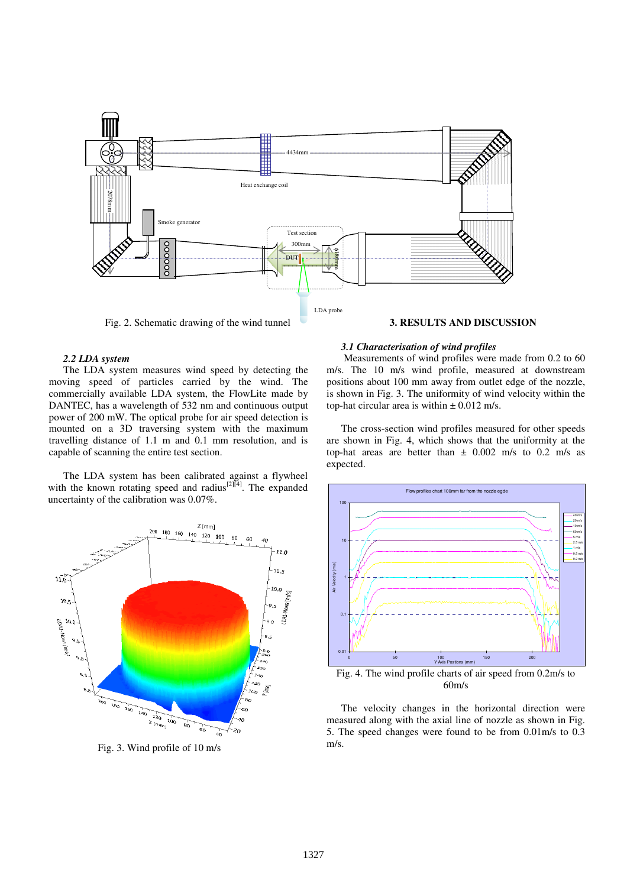

Fig. 2. Schematic drawing of the wind tunnel

## **3. RESULTS AND DISCUSSION**

## *2.2 LDA system*

The LDA system measures wind speed by detecting the moving speed of particles carried by the wind. The commercially available LDA system, the FlowLite made by DANTEC, has a wavelength of 532 nm and continuous output power of 200 mW. The optical probe for air speed detection is mounted on a 3D traversing system with the maximum travelling distance of 1.1 m and 0.1 mm resolution, and is capable of scanning the entire test section.

The LDA system has been calibrated against a flywheel with the known rotating speed and radius<sup>[2][4]</sup>. The expanded uncertainty of the calibration was 0.07%.



Fig. 3. Wind profile of 10 m/s

#### *3.1 Characterisation of wind profiles*

Measurements of wind profiles were made from 0.2 to 60 m/s. The 10 m/s wind profile, measured at downstream positions about 100 mm away from outlet edge of the nozzle, is shown in Fig. 3. The uniformity of wind velocity within the top-hat circular area is within  $\pm$  0.012 m/s.

The cross-section wind profiles measured for other speeds are shown in Fig. 4, which shows that the uniformity at the top-hat areas are better than  $\pm$  0.002 m/s to 0.2 m/s as expected.



60m/s

The velocity changes in the horizontal direction were measured along with the axial line of nozzle as shown in Fig. 5. The speed changes were found to be from 0.01m/s to 0.3 m/s.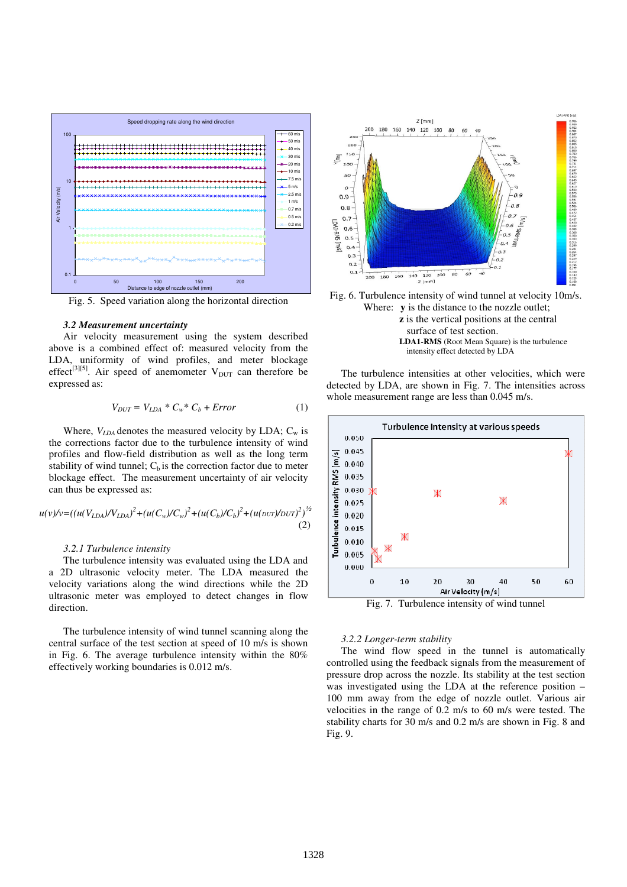

Fig. 5. Speed variation along the horizontal direction

#### *3.2 Measurement uncertainty*

Air velocity measurement using the system described above is a combined effect of: measured velocity from the LDA, uniformity of wind profiles, and meter blockage effect<sup>[3][5]</sup>. Air speed of anemometer  $V_{\text{DUT}}$  can therefore be expressed as:

$$
V_{DUT} = V_{LDA} * C_w * C_b + Error \tag{1}
$$

Where,  $V_{LDA}$  denotes the measured velocity by LDA;  $C_w$  is the corrections factor due to the turbulence intensity of wind profiles and flow-field distribution as well as the long term stability of wind tunnel;  $C_b$  is the correction factor due to meter blockage effect. The measurement uncertainty of air velocity can thus be expressed as:

$$
u(v)/v = ((u(V_{LDA})/V_{LDA})^2 + (u(C_w)/C_w)^2 + (u(C_b)/C_b)^2 + (u(\text{OUT})/DUT)^2)^{1/2}
$$
\n(2)

#### *3.2.1 Turbulence intensity*

The turbulence intensity was evaluated using the LDA and a 2D ultrasonic velocity meter. The LDA measured the velocity variations along the wind directions while the 2D ultrasonic meter was employed to detect changes in flow direction.

The turbulence intensity of wind tunnel scanning along the central surface of the test section at speed of 10 m/s is shown in Fig. 6. The average turbulence intensity within the 80% effectively working boundaries is 0.012 m/s.





**z** is the vertical positions at the central surface of test section. **LDA1-RMS** (Root Mean Square) is the turbulence intensity effect detected by LDA

The turbulence intensities at other velocities, which were detected by LDA, are shown in Fig. 7. The intensities across whole measurement range are less than 0.045 m/s.



Fig. 7. Turbulence intensity of wind tunnel

### *3.2.2 Longer-term stability*

The wind flow speed in the tunnel is automatically controlled using the feedback signals from the measurement of pressure drop across the nozzle. Its stability at the test section was investigated using the LDA at the reference position – 100 mm away from the edge of nozzle outlet. Various air velocities in the range of 0.2 m/s to 60 m/s were tested. The stability charts for 30 m/s and 0.2 m/s are shown in Fig. 8 and Fig. 9.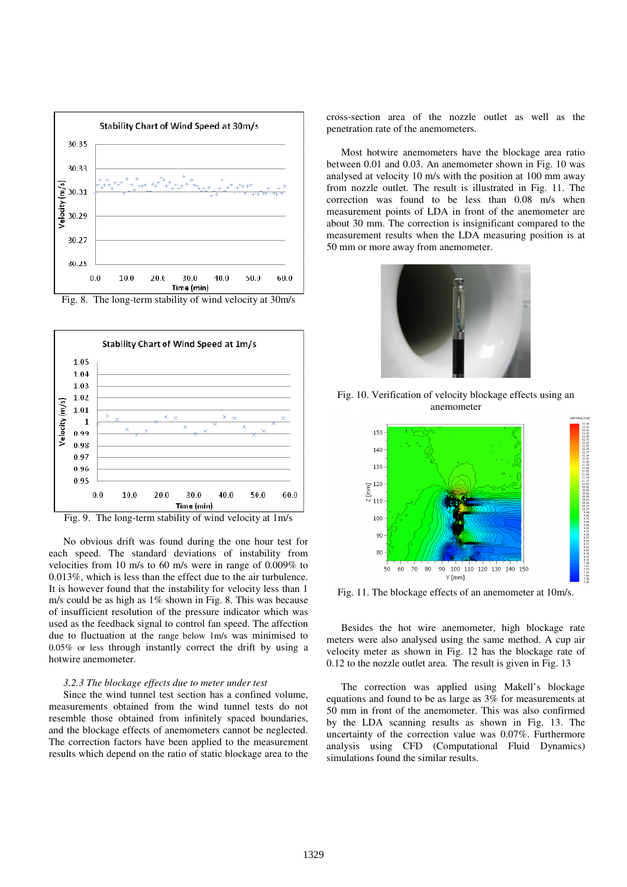

Fig. 8. The long-term stability of wind velocity at 30m/s



Fig. 9. The long-term stability of wind velocity at 1m/s

No obvious drift was found during the one hour test for each speed. The standard deviations of instability from velocities from 10 m/s to 60 m/s were in range of 0.009% to 0.013%, which is less than the effect due to the air turbulence. It is however found that the instability for velocity less than 1 m/s could be as high as 1% shown in Fig. 8. This was because of insufficient resolution of the pressure indicator which was used as the feedback signal to control fan speed. The affection due to fluctuation at the range below 1m/s was minimised to 0.05% or less through instantly correct the drift by using a hotwire anemometer.

#### *3.2.3 The blockage effects due to meter under test*

Since the wind tunnel test section has a confined volume, measurements obtained from the wind tunnel tests do not resemble those obtained from infinitely spaced boundaries, and the blockage effects of anemometers cannot be neglected. The correction factors have been applied to the measurement results which depend on the ratio of static blockage area to the cross-section area of the nozzle outlet as well as the penetration rate of the anemometers.

Most hotwire anemometers have the blockage area ratio between 0.01 and 0.03. An anemometer shown in Fig. 10 was analysed at velocity 10 m/s with the position at 100 mm away from nozzle outlet. The result is illustrated in Fig. 11. The correction was found to be less than 0.08 m/s when measurement points of LDA in front of the anemometer are about 30 mm. The correction is insignificant compared to the measurement results when the LDA measuring position is at 50 mm or more away from anemometer.



Fig. 10. Verification of velocity blockage effects using an anemometer



Fig. 11. The blockage effects of an anemometer at 10m/s.

Besides the hot wire anemometer, high blockage rate meters were also analysed using the same method. A cup air velocity meter as shown in Fig. 12 has the blockage rate of 0.12 to the nozzle outlet area. The result is given in Fig. 13

The correction was applied using Makell's blockage equations and found to be as large as 3% for measurements at 50 mm in front of the anemometer. This was also confirmed by the LDA scanning results as shown in Fig. 13. The uncertainty of the correction value was 0.07%. Furthermore analysis using CFD (Computational Fluid Dynamics) simulations found the similar results.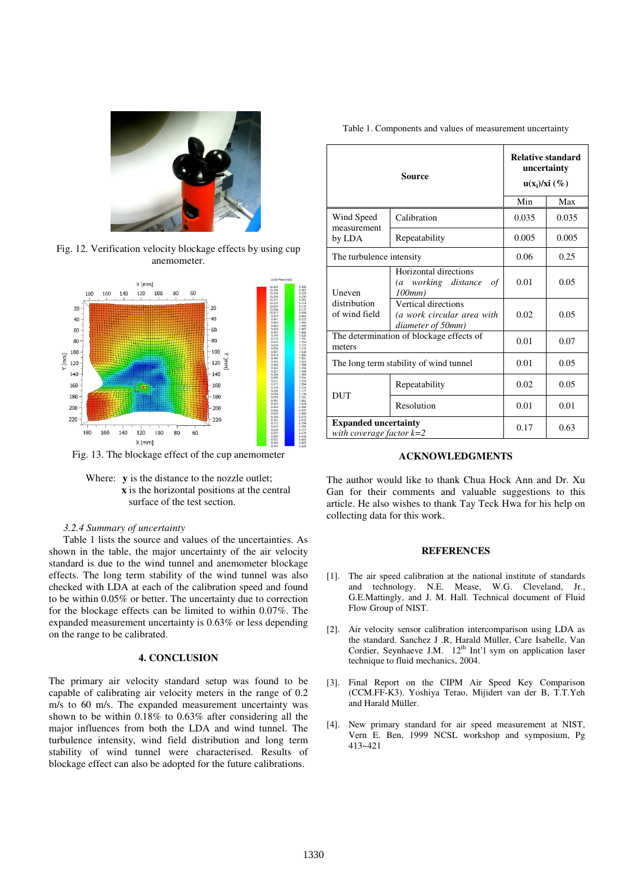

Fig. 12. Verification velocity blockage effects by using cup anemometer.



Fig. 13. The blockage effect of the cup anemometer



# *3.2.4 Summary of uncertainty*

Table 1 lists the source and values of the uncertainties. As shown in the table, the major uncertainty of the air velocity standard is due to the wind tunnel and anemometer blockage effects. The long term stability of the wind tunnel was also checked with LDA at each of the calibration speed and found to be within 0.05% or better. The uncertainty due to correction for the blockage effects can be limited to within 0.07%. The expanded measurement uncertainty is 0.63% or less depending on the range to be calibrated.

# **4. CONCLUSION**

The primary air velocity standard setup was found to be capable of calibrating air velocity meters in the range of 0.2 m/s to 60 m/s. The expanded measurement uncertainty was shown to be within 0.18% to 0.63% after considering all the major influences from both the LDA and wind tunnel. The turbulence intensity, wind field distribution and long term stability of wind tunnel were characterised. Results of blockage effect can also be adopted for the future calibrations.

Table 1. Components and values of measurement uncertainty

| Source                                                  |                                                                         | <b>Relative standard</b><br>uncertainty<br>$u(x_i)/xi(\%)$ |       |
|---------------------------------------------------------|-------------------------------------------------------------------------|------------------------------------------------------------|-------|
|                                                         |                                                                         | Min                                                        | Max   |
| Wind Speed<br>measurement<br>by LDA                     | Calibration                                                             | 0.035                                                      | 0.035 |
|                                                         | Repeatability                                                           | 0.005                                                      | 0.005 |
| The turbulence intensity                                |                                                                         | 0.06                                                       | 0.25  |
| Uneven<br>distribution<br>of wind field                 | Horizontal directions<br>working distance<br>$\sigma f$<br>(a<br>100mm) | 0.01                                                       | 0.05  |
|                                                         | Vertical directions<br>(a work circular area with<br>diameter of 50mm)  | 0.02                                                       | 0.05  |
| The determination of blockage effects of<br>meters      |                                                                         | 0.01                                                       | 0.07  |
| The long term stability of wind tunnel                  |                                                                         | 0.01                                                       | 0.05  |
| <b>DUT</b>                                              | Repeatability                                                           | 0.02                                                       | 0.05  |
|                                                         | Resolution                                                              | 0.01                                                       | 0.01  |
| <b>Expanded uncertainty</b><br>with coverage factor k=2 |                                                                         | 0.17                                                       | 0.63  |

# **ACKNOWLEDGMENTS**

The author would like to thank Chua Hock Ann and Dr. Xu Gan for their comments and valuable suggestions to this article. He also wishes to thank Tay Teck Hwa for his help on collecting data for this work.

# **REFERENCES**

- [1]. The air speed calibration at the national institute of standards and technology. N.E. Mease, W.G. Cleveland, Jr., G.E.Mattingly, and J. M. Hall. Technical document of Fluid Flow Group of NIST.
- [2]. Air velocity sensor calibration intercomparison using LDA as the standard. Sanchez J .R, Harald Müller, Care Isabelle, Van Cordier, Seynhaeve J.M.  $12<sup>th</sup>$  Int'l sym on application laser technique to fluid mechanics, 2004.
- [3]. Final Report on the CIPM Air Speed Key Comparison (CCM.FF-K3). Yoshiya Terao, Mijidert van der B, T.T.Yeh and Harald Müller.
- [4]. New primary standard for air speed measurement at NIST, Vern E. Ben, 1999 NCSL workshop and symposium, Pg 413~421